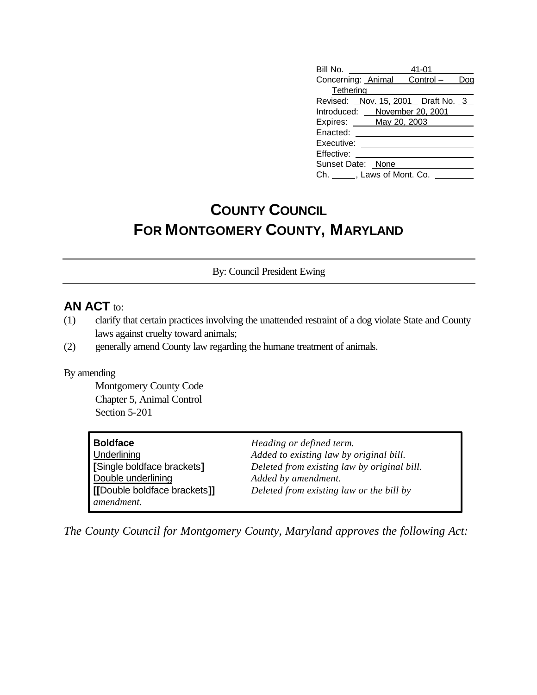| Bill No. <u>___________</u>        |  | 41-01 |  |
|------------------------------------|--|-------|--|
| Concerning: Animal Control -       |  |       |  |
| Tethering                          |  |       |  |
| Revised: Nov. 15, 2001 Draft No. 3 |  |       |  |
| Introduced: November 20, 2001      |  |       |  |
| Expires: _____ May 20, 2003        |  |       |  |
| Enacted: _____                     |  |       |  |
| Executive:                         |  |       |  |
| Effective:                         |  |       |  |
| Sunset Date: None                  |  |       |  |
| Ch. ______, Laws of Mont. Co.      |  |       |  |

## **COUNTY COUNCIL FOR MONTGOMERY COUNTY, MARYLAND**

By: Council President Ewing

## **AN ACT** to:

- (1) clarify that certain practices involving the unattended restraint of a dog violate State and County laws against cruelty toward animals;
- (2) generally amend County law regarding the humane treatment of animals.

## By amending

Montgomery County Code Chapter 5, Animal Control Section 5-201

| <b>Boldface</b>              | Heading or defined term.                    |
|------------------------------|---------------------------------------------|
| Underlining                  | Added to existing law by original bill.     |
| [Single boldface brackets]   | Deleted from existing law by original bill. |
| Double underlining           | Added by amendment.                         |
| [[Double boldface brackets]] | Deleted from existing law or the bill by    |
| amendment.                   |                                             |

*The County Council for Montgomery County, Maryland approves the following Act:*